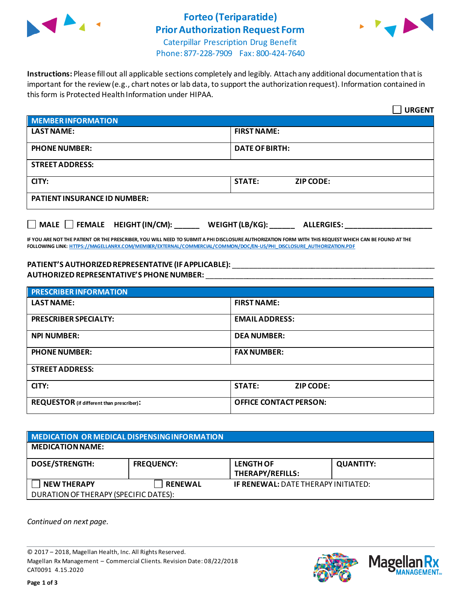

# **Forteo (Teriparatide) Prior Authorization Request Form**



Caterpillar Prescription Drug Benefit Phone: 877-228-7909 Fax: 800-424-7640

**Instructions:** Please fill out all applicable sections completely and legibly. Attach any additional documentation that is important for the review (e.g., chart notes or lab data, to support the authorization request). Information contained in this form is Protected Health Information under HIPAA.

|                                                                                   | <b>URGENT</b>                     |  |  |  |
|-----------------------------------------------------------------------------------|-----------------------------------|--|--|--|
| <b>MEMBER INFORMATION</b>                                                         |                                   |  |  |  |
| <b>LAST NAME:</b>                                                                 | <b>FIRST NAME:</b>                |  |  |  |
| <b>PHONE NUMBER:</b>                                                              | <b>DATE OF BIRTH:</b>             |  |  |  |
| <b>STREET ADDRESS:</b>                                                            |                                   |  |  |  |
| CITY:                                                                             | <b>STATE:</b><br><b>ZIP CODE:</b> |  |  |  |
| <b>PATIENT INSURANCE ID NUMBER:</b>                                               |                                   |  |  |  |
| $\Box$ MALE $\Box$ FEMALE HEIGHT (IN/CM):<br>WEIGHT (LB/KG):<br><b>ALLERGIES:</b> |                                   |  |  |  |

**IF YOU ARE NOT THE PATIENT OR THE PRESCRIBER, YOU WILL NEED TO SUBMIT A PHI DISCLOSURE AUTHORIZATION FORM WITH THIS REQUEST WHICH CAN BE FOUND AT THE FOLLOWING LINK[: HTTPS://MAGELLANRX.COM/MEMBER/EXTERNAL/COMMERCIAL/COMMON/DOC/EN-US/PHI\\_DISCLOSURE\\_AUTHORIZATION.PDF](https://magellanrx.com/member/external/commercial/common/doc/en-us/PHI_Disclosure_Authorization.pdf)**

#### **PATIENT'S AUTHORIZEDREPRESENTATIVE (IF APPLICABLE):** \_\_\_\_\_\_\_\_\_\_\_\_\_\_\_\_\_\_\_\_\_\_\_\_\_\_\_\_\_\_\_\_\_\_\_\_\_\_\_\_\_\_\_\_\_\_\_\_\_ **AUTHORIZED REPRESENTATIVE'S PHONE NUMBER:** \_\_\_\_\_\_\_\_\_\_\_\_\_\_\_\_\_\_\_\_\_\_\_\_\_\_\_\_\_\_\_\_\_\_\_\_\_\_\_\_\_\_\_\_\_\_\_\_\_\_\_\_\_\_\_

| <b>PRESCRIBER INFORMATION</b>             |                                   |  |  |  |
|-------------------------------------------|-----------------------------------|--|--|--|
| <b>LAST NAME:</b>                         | <b>FIRST NAME:</b>                |  |  |  |
| <b>PRESCRIBER SPECIALTY:</b>              | <b>EMAIL ADDRESS:</b>             |  |  |  |
| <b>NPI NUMBER:</b>                        | <b>DEA NUMBER:</b>                |  |  |  |
| <b>PHONE NUMBER:</b>                      | <b>FAX NUMBER:</b>                |  |  |  |
| <b>STREET ADDRESS:</b>                    |                                   |  |  |  |
| CITY:                                     | <b>STATE:</b><br><b>ZIP CODE:</b> |  |  |  |
| REQUESTOR (if different than prescriber): | <b>OFFICE CONTACT PERSON:</b>     |  |  |  |

| MEDICATION OR MEDICAL DISPENSING INFORMATION |                   |                                            |                  |  |  |
|----------------------------------------------|-------------------|--------------------------------------------|------------------|--|--|
| <b>MEDICATION NAME:</b>                      |                   |                                            |                  |  |  |
| <b>DOSE/STRENGTH:</b>                        | <b>FREQUENCY:</b> | <b>LENGTH OF</b><br>THERAPY/REFILLS:       | <b>QUANTITY:</b> |  |  |
| <b>NEW THERAPY</b>                           | <b>RENEWAL</b>    | <b>IF RENEWAL: DATE THERAPY INITIATED:</b> |                  |  |  |
| DURATION OF THERAPY (SPECIFIC DATES):        |                   |                                            |                  |  |  |

*Continued on next page.*

© 2017 – 2018, Magellan Health, Inc. All Rights Reserved. Magellan Rx Management – Commercial Clients. Revision Date: 08/22/2018 CAT0091 4.15.2020



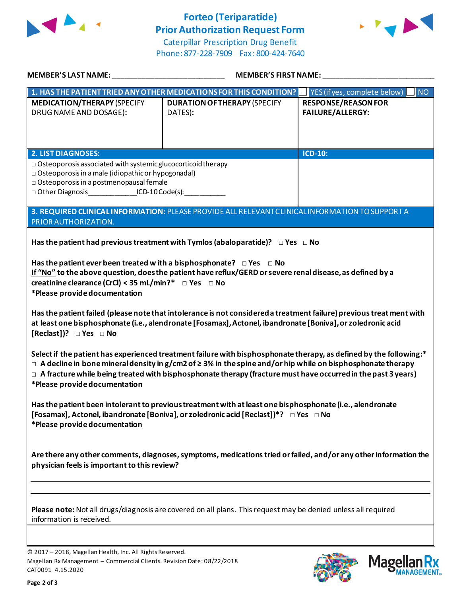

# **Forteo (Teriparatide) Prior Authorization Request Form**



Caterpillar Prescription Drug Benefit Phone: 877-228-7909 Fax: 800-424-7640

| <b>MEMBER'S LAST NAME:</b>                                                                                                                                                                                                                                                                                                                                                                                                                                                                                                                                                                                                                                                                                                                                                                                                                                                                                                                                                                                                                                                    | <b>MEMBER'S FIRST NAME:</b>                                                                     |                                                       |  |  |
|-------------------------------------------------------------------------------------------------------------------------------------------------------------------------------------------------------------------------------------------------------------------------------------------------------------------------------------------------------------------------------------------------------------------------------------------------------------------------------------------------------------------------------------------------------------------------------------------------------------------------------------------------------------------------------------------------------------------------------------------------------------------------------------------------------------------------------------------------------------------------------------------------------------------------------------------------------------------------------------------------------------------------------------------------------------------------------|-------------------------------------------------------------------------------------------------|-------------------------------------------------------|--|--|
| 1. HAS THE PATIENT TRIED ANY OTHER MEDICATIONS FOR THIS CONDITION?<br>YES (if yes, complete below)<br>INO                                                                                                                                                                                                                                                                                                                                                                                                                                                                                                                                                                                                                                                                                                                                                                                                                                                                                                                                                                     |                                                                                                 |                                                       |  |  |
| <b>MEDICATION/THERAPY (SPECIFY</b><br>DRUG NAME AND DOSAGE):                                                                                                                                                                                                                                                                                                                                                                                                                                                                                                                                                                                                                                                                                                                                                                                                                                                                                                                                                                                                                  | <b>DURATION OF THERAPY (SPECIFY</b><br>DATES):                                                  | <b>RESPONSE/REASON FOR</b><br><b>FAILURE/ALLERGY:</b> |  |  |
| <b>2. LIST DIAGNOSES:</b>                                                                                                                                                                                                                                                                                                                                                                                                                                                                                                                                                                                                                                                                                                                                                                                                                                                                                                                                                                                                                                                     |                                                                                                 | ICD-10:                                               |  |  |
| $\Box$ Osteoporosis associated with systemic glucocorticoid therapy<br>$\Box$ Osteoporosis in a male (idiopathic or hypogonadal)<br>$\Box$ Osteoporosis in a postmenopausal female<br>□ Other Diagnosis ICD-10 Code(s):                                                                                                                                                                                                                                                                                                                                                                                                                                                                                                                                                                                                                                                                                                                                                                                                                                                       |                                                                                                 |                                                       |  |  |
| PRIOR AUTHORIZATION.                                                                                                                                                                                                                                                                                                                                                                                                                                                                                                                                                                                                                                                                                                                                                                                                                                                                                                                                                                                                                                                          | 3. REQUIRED CLINICAL INFORMATION: PLEASE PROVIDE ALL RELEVANT CLINICAL INFORMATION TO SUPPORT A |                                                       |  |  |
| Has the patient had previous treatment with Tymlos (abaloparatide)? $\Box$ Yes $\Box$ No<br>Has the patient ever been treated w ith a bisphosphonate? $\Box$ Yes $\Box$ No<br>If "No" to the above question, does the patient have reflux/GERD or severe renal disease, as defined by a<br>creatinine clearance (CrCl) < 35 mL/min?* $\Box$ Yes $\Box$ No<br>*Please provide documentation<br>Has the patient failed (please note that intolerance is not considered a treatment failure) previous treat ment with<br>at least one bisphosphonate (i.e., alendronate [Fosamax], Actonel, ibandronate [Boniva], or zoledronic acid<br>[Reclast])? $\Box$ Yes $\Box$ No<br>Select if the patient has experienced treatment failure with bisphosphonate therapy, as defined by the following:*<br>$\Box$ A decline in bone mineral density in g/cm2 of $\geq$ 3% in the spine and/or hip while on bisphosphonate therapy<br>$\Box$ A fracture while being treated with bisphosphonate therapy (fracture must have occurred in the past 3 years)<br>*Please provide documentation |                                                                                                 |                                                       |  |  |
| Has the patient been intolerant to previous treatment with at least one bisphosphonate (i.e., alendronate<br>[Fosamax], Actonel, ibandronate [Boniva], or zoledronic acid [Reclast])*? □ Yes □ No<br>*Please provide documentation                                                                                                                                                                                                                                                                                                                                                                                                                                                                                                                                                                                                                                                                                                                                                                                                                                            |                                                                                                 |                                                       |  |  |
| Are there any other comments, diagnoses, symptoms, medications tried or failed, and/or any other information the<br>physician feels is important to this review?                                                                                                                                                                                                                                                                                                                                                                                                                                                                                                                                                                                                                                                                                                                                                                                                                                                                                                              |                                                                                                 |                                                       |  |  |
| Please note: Not all drugs/diagnosis are covered on all plans. This request may be denied unless all required<br>information is received.                                                                                                                                                                                                                                                                                                                                                                                                                                                                                                                                                                                                                                                                                                                                                                                                                                                                                                                                     |                                                                                                 |                                                       |  |  |

© 2017 – 2018, Magellan Health, Inc. All Rights Reserved. Magellan Rx Management – Commercial Clients. Revision Date: 08/22/2018 CAT0091 4.15.2020